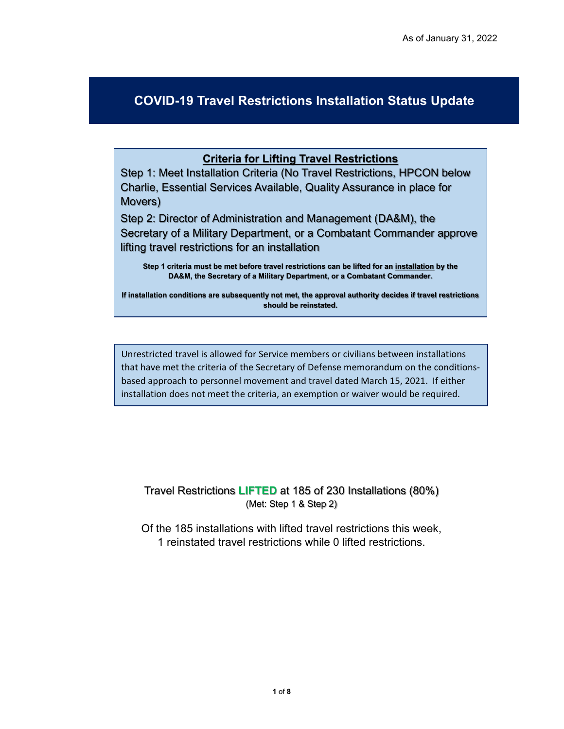## **COVID-19 Travel Restrictions Installation Status Update**

## **Criteria for Lifting Travel Restrictions**

Step 1: Meet Installation Criteria (No Travel Restrictions, HPCON below Charlie, Essential Services Available, Quality Assurance in place for Movers)

Step 2: Director of Administration and Management (DA&M), the Secretary of a Military Department, or a Combatant Commander approve lifting travel restrictions for an installation

**Step 1 criteria must be met before travel restrictions can be lifted for an installation by the DA&M, the Secretary of a Military Department, or a Combatant Commander.** 

**If installation conditions are subsequently not met, the approval authority decides if travel restrictions should be reinstated.** 

Unrestricted travel is allowed for Service members or civilians between installations that have met the criteria of the Secretary of Defense memorandum on the conditionsbased approach to personnel movement and travel dated March 15, 2021. If either installation does not meet the criteria, an exemption or waiver would be required.

Travel Restrictions **LIFTED** at 185 of 230 Installations (80%) (Met: Step 1 & Step 2)

Of the 185 installations with lifted travel restrictions this week, 1 reinstated travel restrictions while 0 lifted restrictions.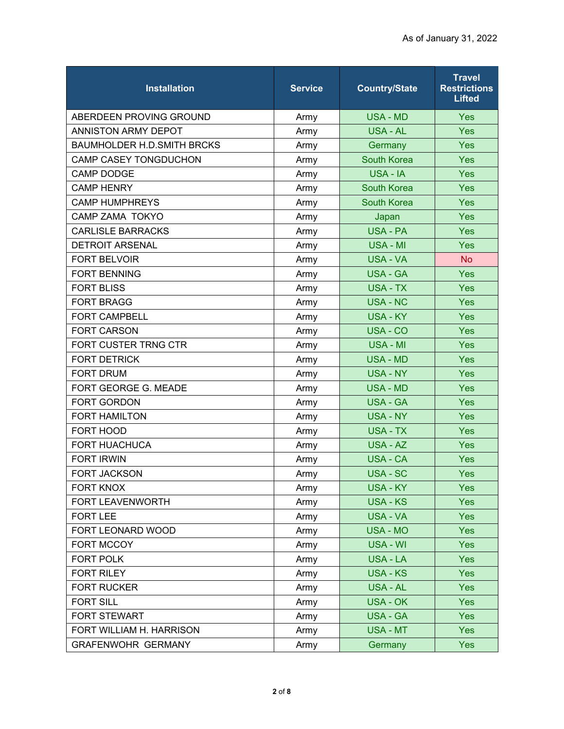| <b>Installation</b>               | <b>Service</b> | <b>Country/State</b> | <b>Travel</b><br><b>Restrictions</b><br><b>Lifted</b> |
|-----------------------------------|----------------|----------------------|-------------------------------------------------------|
| ABERDEEN PROVING GROUND           | Army           | <b>USA - MD</b>      | Yes                                                   |
| <b>ANNISTON ARMY DEPOT</b>        | Army           | <b>USA - AL</b>      | Yes                                                   |
| <b>BAUMHOLDER H.D.SMITH BRCKS</b> | Army           | Germany              | Yes                                                   |
| CAMP CASEY TONGDUCHON             | Army           | <b>South Korea</b>   | Yes                                                   |
| <b>CAMP DODGE</b>                 | Army           | USA - IA             | Yes                                                   |
| <b>CAMP HENRY</b>                 | Army           | <b>South Korea</b>   | Yes                                                   |
| <b>CAMP HUMPHREYS</b>             | Army           | <b>South Korea</b>   | Yes                                                   |
| <b>CAMP ZAMA TOKYO</b>            | Army           | Japan                | Yes                                                   |
| <b>CARLISLE BARRACKS</b>          | Army           | <b>USA - PA</b>      | Yes                                                   |
| <b>DETROIT ARSENAL</b>            | Army           | USA - MI             | Yes                                                   |
| <b>FORT BELVOIR</b>               | Army           | USA - VA             | <b>No</b>                                             |
| <b>FORT BENNING</b>               | Army           | <b>USA - GA</b>      | Yes                                                   |
| <b>FORT BLISS</b>                 | Army           | USA - TX             | Yes                                                   |
| <b>FORT BRAGG</b>                 | Army           | <b>USA - NC</b>      | Yes                                                   |
| <b>FORT CAMPBELL</b>              | Army           | USA - KY             | Yes                                                   |
| <b>FORT CARSON</b>                | Army           | USA - CO             | Yes                                                   |
| FORT CUSTER TRNG CTR              | Army           | <b>USA - MI</b>      | Yes                                                   |
| <b>FORT DETRICK</b>               | Army           | <b>USA - MD</b>      | Yes                                                   |
| <b>FORT DRUM</b>                  | Army           | <b>USA - NY</b>      | Yes                                                   |
| FORT GEORGE G. MEADE              | Army           | <b>USA - MD</b>      | Yes                                                   |
| FORT GORDON                       | Army           | <b>USA - GA</b>      | Yes                                                   |
| <b>FORT HAMILTON</b>              | Army           | <b>USA - NY</b>      | Yes                                                   |
| FORT HOOD                         | Army           | <b>USA - TX</b>      | Yes                                                   |
| <b>FORT HUACHUCA</b>              | Army           | <b>USA - AZ</b>      | Yes                                                   |
| <b>FORT IRWIN</b>                 | Army           | <b>USA - CA</b>      | Yes                                                   |
| <b>FORT JACKSON</b>               | Army           | <b>USA - SC</b>      | Yes                                                   |
| <b>FORT KNOX</b>                  | Army           | <b>USA - KY</b>      | Yes                                                   |
| FORT LEAVENWORTH                  | Army           | <b>USA - KS</b>      | <b>Yes</b>                                            |
| <b>FORT LEE</b>                   | Army           | USA - VA             | <b>Yes</b>                                            |
| FORT LEONARD WOOD                 | Army           | <b>USA - MO</b>      | Yes                                                   |
| FORT MCCOY                        | Army           | USA - WI             | Yes                                                   |
| FORT POLK                         | Army           | USA - LA             | Yes                                                   |
| FORT RILEY                        | Army           | <b>USA - KS</b>      | Yes                                                   |
| <b>FORT RUCKER</b>                | Army           | USA - AL             | Yes                                                   |
| <b>FORT SILL</b>                  | Army           | USA - OK             | <b>Yes</b>                                            |
| FORT STEWART                      | Army           | <b>USA - GA</b>      | Yes                                                   |
| FORT WILLIAM H. HARRISON          | Army           | USA - MT             | <b>Yes</b>                                            |
| <b>GRAFENWOHR GERMANY</b>         | Army           | Germany              | <b>Yes</b>                                            |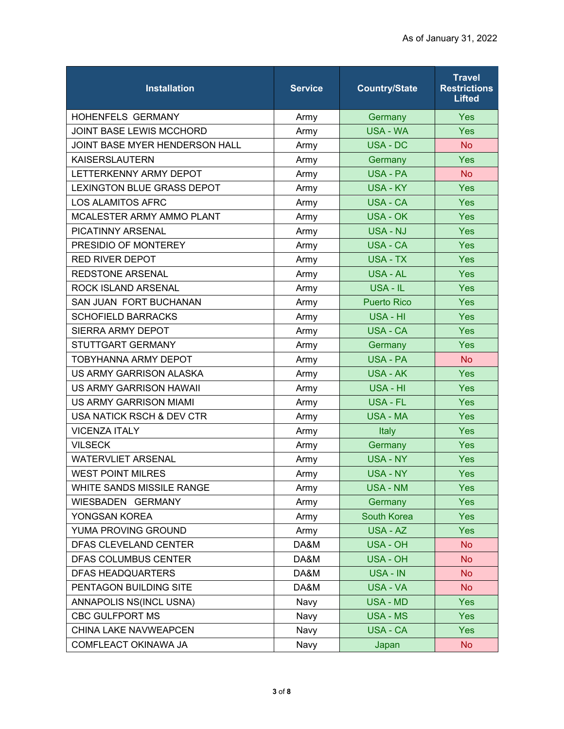| <b>Installation</b>                   | <b>Service</b> | <b>Country/State</b> | <b>Travel</b><br><b>Restrictions</b><br>Lifted |
|---------------------------------------|----------------|----------------------|------------------------------------------------|
| <b>HOHENFELS GERMANY</b>              | Army           | Germany              | Yes                                            |
| <b>JOINT BASE LEWIS MCCHORD</b>       | Army           | <b>USA - WA</b>      | Yes                                            |
| <b>JOINT BASE MYER HENDERSON HALL</b> | Army           | USA - DC             | <b>No</b>                                      |
| <b>KAISERSLAUTERN</b>                 | Army           | Germany              | Yes                                            |
| LETTERKENNY ARMY DEPOT                | Army           | USA - PA             | <b>No</b>                                      |
| <b>LEXINGTON BLUE GRASS DEPOT</b>     | Army           | <b>USA - KY</b>      | Yes                                            |
| <b>LOS ALAMITOS AFRC</b>              | Army           | <b>USA - CA</b>      | Yes                                            |
| MCALESTER ARMY AMMO PLANT             | Army           | <b>USA - OK</b>      | Yes                                            |
| <b>PICATINNY ARSENAL</b>              | Army           | USA - NJ             | Yes                                            |
| PRESIDIO OF MONTEREY                  | Army           | <b>USA - CA</b>      | Yes                                            |
| <b>RED RIVER DEPOT</b>                | Army           | USA - TX             | Yes                                            |
| <b>REDSTONE ARSENAL</b>               | Army           | USA - AL             | Yes                                            |
| <b>ROCK ISLAND ARSENAL</b>            | Army           | USA - IL             | Yes                                            |
| SAN JUAN FORT BUCHANAN                | Army           | <b>Puerto Rico</b>   | Yes                                            |
| <b>SCHOFIELD BARRACKS</b>             | Army           | USA - HI             | Yes                                            |
| SIERRA ARMY DEPOT                     | Army           | <b>USA - CA</b>      | Yes                                            |
| STUTTGART GERMANY                     | Army           | Germany              | Yes                                            |
| <b>TOBYHANNA ARMY DEPOT</b>           | Army           | <b>USA - PA</b>      | <b>No</b>                                      |
| US ARMY GARRISON ALASKA               | Army           | <b>USA - AK</b>      | Yes                                            |
| <b>US ARMY GARRISON HAWAII</b>        | Army           | USA - HI             | Yes                                            |
| US ARMY GARRISON MIAMI                | Army           | <b>USA - FL</b>      | Yes                                            |
| <b>USA NATICK RSCH &amp; DEV CTR</b>  | Army           | <b>USA - MA</b>      | Yes                                            |
| <b>VICENZA ITALY</b>                  | Army           | Italy                | Yes                                            |
| <b>VILSECK</b>                        | Army           | Germany              | Yes                                            |
| <b>WATERVLIET ARSENAL</b>             | Army           | <b>USA - NY</b>      | Yes                                            |
| <b>WEST POINT MILRES</b>              | Army           | <b>USA - NY</b>      | Yes                                            |
| WHITE SANDS MISSILE RANGE             | Army           | <b>USA - NM</b>      | Yes                                            |
| WIESBADEN GERMANY                     | Army           | Germany              | Yes                                            |
| YONGSAN KOREA                         | Army           | <b>South Korea</b>   | <b>Yes</b>                                     |
| YUMA PROVING GROUND                   | Army           | USA - AZ             | Yes                                            |
| DFAS CLEVELAND CENTER                 | DA&M           | <b>USA - OH</b>      | <b>No</b>                                      |
| DFAS COLUMBUS CENTER                  | DA&M           | USA - OH             | <b>No</b>                                      |
| <b>DFAS HEADQUARTERS</b>              | DA&M           | USA - IN             | <b>No</b>                                      |
| PENTAGON BUILDING SITE                | DA&M           | USA - VA             | <b>No</b>                                      |
| ANNAPOLIS NS(INCL USNA)               | Navy           | USA - MD             | <b>Yes</b>                                     |
| <b>CBC GULFPORT MS</b>                | Navy           | <b>USA - MS</b>      | Yes                                            |
| CHINA LAKE NAVWEAPCEN                 | Navy           | USA - CA             | <b>Yes</b>                                     |
| COMFLEACT OKINAWA JA                  | Navy           | Japan                | <b>No</b>                                      |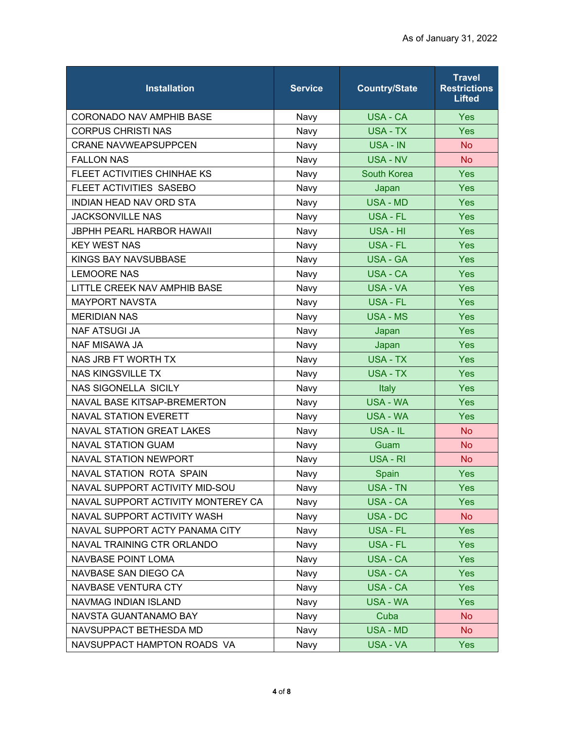| <b>Installation</b>                | <b>Service</b> | <b>Country/State</b> | <b>Travel</b><br><b>Restrictions</b><br><b>Lifted</b> |
|------------------------------------|----------------|----------------------|-------------------------------------------------------|
| <b>CORONADO NAV AMPHIB BASE</b>    | Navy           | USA - CA             | Yes                                                   |
| <b>CORPUS CHRISTI NAS</b>          | Navy           | USA - TX             | Yes                                                   |
| <b>CRANE NAVWEAPSUPPCEN</b>        | Navy           | USA - IN             | <b>No</b>                                             |
| <b>FALLON NAS</b>                  | Navy           | <b>USA - NV</b>      | <b>No</b>                                             |
| FLEET ACTIVITIES CHINHAE KS        | Navy           | <b>South Korea</b>   | Yes                                                   |
| FLEET ACTIVITIES SASEBO            | Navy           | Japan                | Yes                                                   |
| INDIAN HEAD NAV ORD STA            | Navy           | <b>USA - MD</b>      | Yes                                                   |
| <b>JACKSONVILLE NAS</b>            | Navy           | USA - FL             | Yes                                                   |
| <b>JBPHH PEARL HARBOR HAWAII</b>   | Navy           | USA - HI             | Yes                                                   |
| <b>KEY WEST NAS</b>                | Navy           | USA - FL             | Yes                                                   |
| <b>KINGS BAY NAVSUBBASE</b>        | Navy           | <b>USA - GA</b>      | Yes                                                   |
| <b>LEMOORE NAS</b>                 | Navy           | USA - CA             | Yes                                                   |
| LITTLE CREEK NAV AMPHIB BASE       | Navy           | <b>USA - VA</b>      | Yes                                                   |
| <b>MAYPORT NAVSTA</b>              | Navy           | <b>USA - FL</b>      | Yes                                                   |
| <b>MERIDIAN NAS</b>                | Navy           | <b>USA - MS</b>      | Yes                                                   |
| <b>NAF ATSUGI JA</b>               | Navy           | Japan                | Yes                                                   |
| <b>NAF MISAWA JA</b>               | Navy           | Japan                | Yes                                                   |
| NAS JRB FT WORTH TX                | Navy           | <b>USA - TX</b>      | Yes                                                   |
| <b>NAS KINGSVILLE TX</b>           | Navy           | USA - TX             | Yes                                                   |
| <b>NAS SIGONELLA SICILY</b>        | Navy           | Italy                | Yes                                                   |
| NAVAL BASE KITSAP-BREMERTON        | Navy           | <b>USA - WA</b>      | Yes                                                   |
| <b>NAVAL STATION EVERETT</b>       | Navy           | <b>USA - WA</b>      | Yes                                                   |
| <b>NAVAL STATION GREAT LAKES</b>   | Navy           | USA - IL             | <b>No</b>                                             |
| <b>NAVAL STATION GUAM</b>          | Navy           | Guam                 | <b>No</b>                                             |
| <b>NAVAL STATION NEWPORT</b>       | Navy           | USA - RI             | <b>No</b>                                             |
| NAVAL STATION ROTA SPAIN           | Navy           | Spain                | Yes                                                   |
| NAVAL SUPPORT ACTIVITY MID-SOU     | Navy           | <b>USA - TN</b>      | Yes                                                   |
| NAVAL SUPPORT ACTIVITY MONTEREY CA | Navy           | USA - CA             | Yes                                                   |
| NAVAL SUPPORT ACTIVITY WASH        | Navy           | USA - DC             | <b>No</b>                                             |
| NAVAL SUPPORT ACTY PANAMA CITY     | Navy           | USA - FL             | Yes                                                   |
| NAVAL TRAINING CTR ORLANDO         | Navy           | USA - FL             | Yes                                                   |
| NAVBASE POINT LOMA                 | Navy           | USA - CA             | <b>Yes</b>                                            |
| NAVBASE SAN DIEGO CA               | Navy           | USA - CA             | <b>Yes</b>                                            |
| <b>NAVBASE VENTURA CTY</b>         | Navy           | <b>USA - CA</b>      | Yes                                                   |
| NAVMAG INDIAN ISLAND               | Navy           | USA - WA             | Yes                                                   |
| NAVSTA GUANTANAMO BAY              | Navy           | Cuba                 | <b>No</b>                                             |
| NAVSUPPACT BETHESDA MD             | Navy           | <b>USA - MD</b>      | <b>No</b>                                             |
| NAVSUPPACT HAMPTON ROADS VA        | Navy           | USA - VA             | <b>Yes</b>                                            |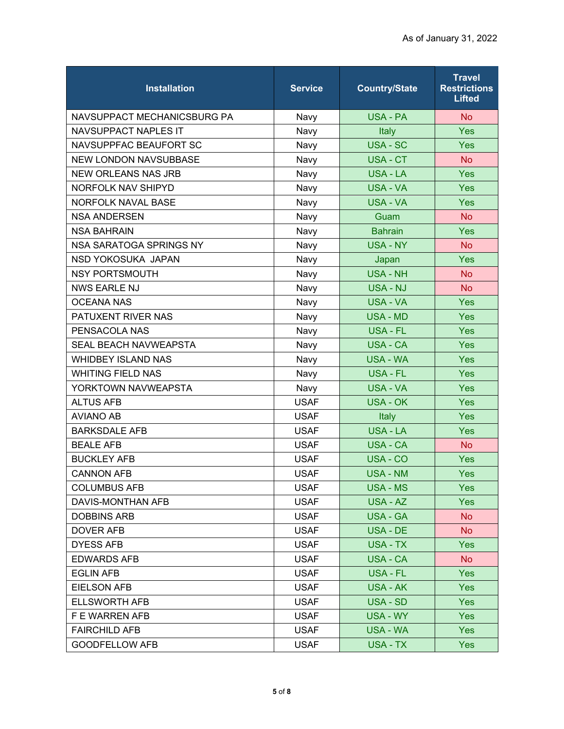| <b>Installation</b>          | <b>Service</b> | <b>Country/State</b> | <b>Travel</b><br><b>Restrictions</b><br><b>Lifted</b> |
|------------------------------|----------------|----------------------|-------------------------------------------------------|
| NAVSUPPACT MECHANICSBURG PA  | Navy           | USA - PA             | <b>No</b>                                             |
| <b>NAVSUPPACT NAPLES IT</b>  | Navy           | Italy                | Yes                                                   |
| NAVSUPPFAC BEAUFORT SC       | Navy           | <b>USA - SC</b>      | Yes                                                   |
| <b>NEW LONDON NAVSUBBASE</b> | Navy           | USA - CT             | <b>No</b>                                             |
| <b>NEW ORLEANS NAS JRB</b>   | Navy           | USA - LA             | Yes                                                   |
| NORFOLK NAV SHIPYD           | Navy           | <b>USA - VA</b>      | Yes                                                   |
| NORFOLK NAVAL BASE           | Navy           | USA - VA             | Yes                                                   |
| <b>NSA ANDERSEN</b>          | Navy           | Guam                 | <b>No</b>                                             |
| <b>NSA BAHRAIN</b>           | Navy           | <b>Bahrain</b>       | Yes                                                   |
| NSA SARATOGA SPRINGS NY      | Navy           | <b>USA - NY</b>      | <b>No</b>                                             |
| NSD YOKOSUKA JAPAN           | Navy           | Japan                | Yes                                                   |
| <b>NSY PORTSMOUTH</b>        | Navy           | <b>USA - NH</b>      | <b>No</b>                                             |
| <b>NWS EARLE NJ</b>          | Navy           | <b>USA - NJ</b>      | <b>No</b>                                             |
| <b>OCEANA NAS</b>            | Navy           | USA - VA             | Yes                                                   |
| PATUXENT RIVER NAS           | Navy           | <b>USA - MD</b>      | Yes                                                   |
| PENSACOLA NAS                | Navy           | USA - FL             | Yes                                                   |
| <b>SEAL BEACH NAVWEAPSTA</b> | Navy           | <b>USA - CA</b>      | Yes                                                   |
| <b>WHIDBEY ISLAND NAS</b>    | Navy           | <b>USA - WA</b>      | Yes                                                   |
| <b>WHITING FIELD NAS</b>     | Navy           | USA - FL             | Yes                                                   |
| YORKTOWN NAVWEAPSTA          | Navy           | <b>USA - VA</b>      | Yes                                                   |
| <b>ALTUS AFB</b>             | <b>USAF</b>    | <b>USA - OK</b>      | Yes                                                   |
| <b>AVIANO AB</b>             | <b>USAF</b>    | <b>Italy</b>         | Yes                                                   |
| <b>BARKSDALE AFB</b>         | <b>USAF</b>    | <b>USA - LA</b>      | Yes                                                   |
| <b>BEALE AFB</b>             | <b>USAF</b>    | <b>USA - CA</b>      | <b>No</b>                                             |
| <b>BUCKLEY AFB</b>           | <b>USAF</b>    | USA - CO             | Yes                                                   |
| <b>CANNON AFB</b>            | <b>USAF</b>    | <b>USA - NM</b>      | Yes                                                   |
| <b>COLUMBUS AFB</b>          | <b>USAF</b>    | <b>USA - MS</b>      | Yes                                                   |
| DAVIS-MONTHAN AFB            | <b>USAF</b>    | USA - AZ             | <b>Yes</b>                                            |
| <b>DOBBINS ARB</b>           | <b>USAF</b>    | USA - GA             | <b>No</b>                                             |
| <b>DOVER AFB</b>             | <b>USAF</b>    | USA - DE             | <b>No</b>                                             |
| <b>DYESS AFB</b>             | <b>USAF</b>    | USA - TX             | Yes                                                   |
| <b>EDWARDS AFB</b>           | <b>USAF</b>    | USA - CA             | No                                                    |
| <b>EGLIN AFB</b>             | <b>USAF</b>    | USA - FL             | <b>Yes</b>                                            |
| <b>EIELSON AFB</b>           | <b>USAF</b>    | <b>USA - AK</b>      | <b>Yes</b>                                            |
| <b>ELLSWORTH AFB</b>         | <b>USAF</b>    | USA - SD             | <b>Yes</b>                                            |
| F E WARREN AFB               | <b>USAF</b>    | USA - WY             | Yes                                                   |
| <b>FAIRCHILD AFB</b>         | <b>USAF</b>    | USA - WA             | <b>Yes</b>                                            |
| <b>GOODFELLOW AFB</b>        | <b>USAF</b>    | USA - TX             | <b>Yes</b>                                            |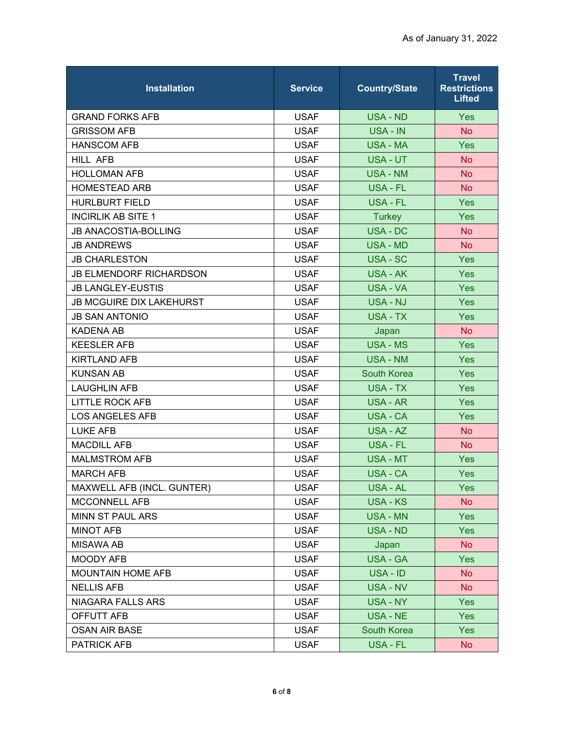| <b>Installation</b>             | <b>Service</b> | <b>Country/State</b> | <b>Travel</b><br><b>Restrictions</b><br><b>Lifted</b> |
|---------------------------------|----------------|----------------------|-------------------------------------------------------|
| <b>GRAND FORKS AFB</b>          | <b>USAF</b>    | <b>USA - ND</b>      | Yes                                                   |
| <b>GRISSOM AFB</b>              | <b>USAF</b>    | <b>USA - IN</b>      | <b>No</b>                                             |
| <b>HANSCOM AFB</b>              | <b>USAF</b>    | <b>USA - MA</b>      | Yes                                                   |
| HILL AFB                        | <b>USAF</b>    | USA - UT             | <b>No</b>                                             |
| <b>HOLLOMAN AFB</b>             | <b>USAF</b>    | <b>USA - NM</b>      | <b>No</b>                                             |
| <b>HOMESTEAD ARB</b>            | <b>USAF</b>    | <b>USA - FL</b>      | <b>No</b>                                             |
| <b>HURLBURT FIELD</b>           | <b>USAF</b>    | <b>USA - FL</b>      | Yes                                                   |
| <b>INCIRLIK AB SITE 1</b>       | <b>USAF</b>    | <b>Turkey</b>        | Yes                                                   |
| <b>JB ANACOSTIA-BOLLING</b>     | <b>USAF</b>    | USA - DC             | <b>No</b>                                             |
| <b>JB ANDREWS</b>               | <b>USAF</b>    | <b>USA - MD</b>      | <b>No</b>                                             |
| <b>JB CHARLESTON</b>            | <b>USAF</b>    | USA - SC             | Yes                                                   |
| <b>JB ELMENDORF RICHARDSON</b>  | <b>USAF</b>    | <b>USA - AK</b>      | Yes                                                   |
| <b>JB LANGLEY-EUSTIS</b>        | <b>USAF</b>    | <b>USA - VA</b>      | Yes                                                   |
| <b>JB MCGUIRE DIX LAKEHURST</b> | <b>USAF</b>    | <b>USA - NJ</b>      | Yes                                                   |
| <b>JB SAN ANTONIO</b>           | <b>USAF</b>    | USA - TX             | Yes                                                   |
| <b>KADENA AB</b>                | <b>USAF</b>    | Japan                | <b>No</b>                                             |
| <b>KEESLER AFB</b>              | <b>USAF</b>    | <b>USA - MS</b>      | Yes                                                   |
| <b>KIRTLAND AFB</b>             | <b>USAF</b>    | <b>USA - NM</b>      | Yes                                                   |
| <b>KUNSAN AB</b>                | <b>USAF</b>    | <b>South Korea</b>   | Yes                                                   |
| <b>LAUGHLIN AFB</b>             | <b>USAF</b>    | USA - TX             | Yes                                                   |
| <b>LITTLE ROCK AFB</b>          | <b>USAF</b>    | <b>USA - AR</b>      | Yes                                                   |
| <b>LOS ANGELES AFB</b>          | <b>USAF</b>    | <b>USA - CA</b>      | Yes                                                   |
| <b>LUKE AFB</b>                 | <b>USAF</b>    | USA - AZ             | <b>No</b>                                             |
| <b>MACDILL AFB</b>              | <b>USAF</b>    | USA - FL             | <b>No</b>                                             |
| <b>MALMSTROM AFB</b>            | <b>USAF</b>    | <b>USA - MT</b>      | Yes                                                   |
| <b>MARCH AFB</b>                | <b>USAF</b>    | USA - CA             | Yes                                                   |
| MAXWELL AFB (INCL. GUNTER)      | <b>USAF</b>    | <b>USA - AL</b>      | <b>Yes</b>                                            |
| MCCONNELL AFB                   | <b>USAF</b>    | <b>USA - KS</b>      | <b>No</b>                                             |
| MINN ST PAUL ARS                | <b>USAF</b>    | <b>USA - MN</b>      | <b>Yes</b>                                            |
| <b>MINOT AFB</b>                | <b>USAF</b>    | <b>USA - ND</b>      | <b>Yes</b>                                            |
| <b>MISAWA AB</b>                | <b>USAF</b>    | Japan                | <b>No</b>                                             |
| <b>MOODY AFB</b>                | <b>USAF</b>    | <b>USA - GA</b>      | <b>Yes</b>                                            |
| MOUNTAIN HOME AFB               | <b>USAF</b>    | USA - ID             | <b>No</b>                                             |
| <b>NELLIS AFB</b>               | <b>USAF</b>    | USA - NV             | <b>No</b>                                             |
| NIAGARA FALLS ARS               | <b>USAF</b>    | USA - NY             | <b>Yes</b>                                            |
| OFFUTT AFB                      | <b>USAF</b>    | USA - NE             | Yes                                                   |
| <b>OSAN AIR BASE</b>            | <b>USAF</b>    | South Korea          | <b>Yes</b>                                            |
| PATRICK AFB                     | <b>USAF</b>    | USA - FL             | <b>No</b>                                             |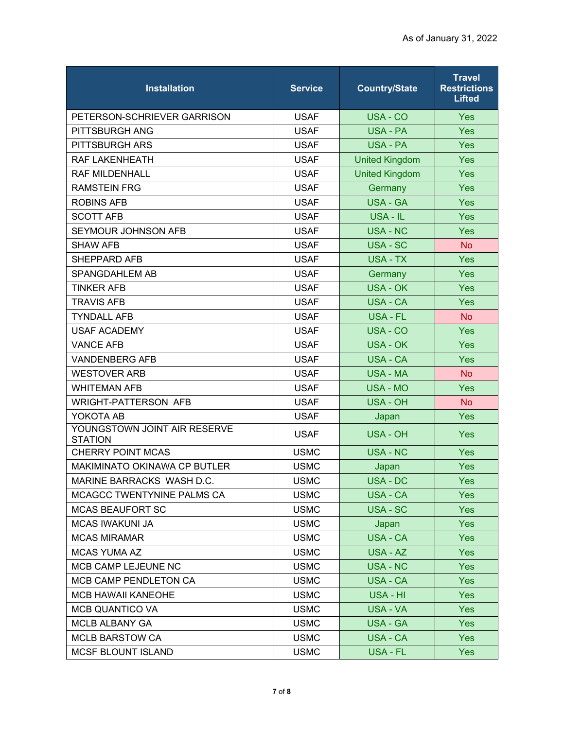| <b>Installation</b>                            | <b>Service</b> | <b>Country/State</b>  | <b>Travel</b><br><b>Restrictions</b><br><b>Lifted</b> |
|------------------------------------------------|----------------|-----------------------|-------------------------------------------------------|
| PETERSON-SCHRIEVER GARRISON                    | <b>USAF</b>    | USA - CO              | Yes                                                   |
| PITTSBURGH ANG                                 | <b>USAF</b>    | USA - PA              | Yes                                                   |
| <b>PITTSBURGH ARS</b>                          | <b>USAF</b>    | USA - PA              | Yes                                                   |
| RAF LAKENHEATH                                 | <b>USAF</b>    | <b>United Kingdom</b> | Yes                                                   |
| <b>RAF MILDENHALL</b>                          | <b>USAF</b>    | <b>United Kingdom</b> | Yes                                                   |
| <b>RAMSTEIN FRG</b>                            | <b>USAF</b>    | Germany               | Yes                                                   |
| <b>ROBINS AFB</b>                              | <b>USAF</b>    | <b>USA - GA</b>       | Yes                                                   |
| <b>SCOTT AFB</b>                               | <b>USAF</b>    | USA - IL              | Yes                                                   |
| SEYMOUR JOHNSON AFB                            | <b>USAF</b>    | <b>USA - NC</b>       | Yes                                                   |
| <b>SHAW AFB</b>                                | <b>USAF</b>    | USA - SC              | <b>No</b>                                             |
| SHEPPARD AFB                                   | <b>USAF</b>    | USA - TX              | Yes                                                   |
| SPANGDAHLEM AB                                 | <b>USAF</b>    | Germany               | Yes                                                   |
| <b>TINKER AFB</b>                              | <b>USAF</b>    | <b>USA - OK</b>       | Yes                                                   |
| <b>TRAVIS AFB</b>                              | <b>USAF</b>    | <b>USA - CA</b>       | Yes                                                   |
| <b>TYNDALL AFB</b>                             | <b>USAF</b>    | USA - FL              | <b>No</b>                                             |
| <b>USAF ACADEMY</b>                            | <b>USAF</b>    | USA - CO              | Yes                                                   |
| <b>VANCE AFB</b>                               | <b>USAF</b>    | <b>USA - OK</b>       | Yes                                                   |
| <b>VANDENBERG AFB</b>                          | <b>USAF</b>    | <b>USA - CA</b>       | Yes                                                   |
| <b>WESTOVER ARB</b>                            | <b>USAF</b>    | <b>USA - MA</b>       | <b>No</b>                                             |
| <b>WHITEMAN AFB</b>                            | <b>USAF</b>    | <b>USA - MO</b>       | Yes                                                   |
| <b>WRIGHT-PATTERSON AFB</b>                    | <b>USAF</b>    | <b>USA - OH</b>       | <b>No</b>                                             |
| YOKOTA AB                                      | <b>USAF</b>    | Japan                 | Yes                                                   |
| YOUNGSTOWN JOINT AIR RESERVE<br><b>STATION</b> | <b>USAF</b>    | USA - OH              | Yes                                                   |
| <b>CHERRY POINT MCAS</b>                       | <b>USMC</b>    | <b>USA - NC</b>       | Yes                                                   |
| MAKIMINATO OKINAWA CP BUTLER                   | <b>USMC</b>    | Japan                 | Yes                                                   |
| MARINE BARRACKS WASH D.C.                      | <b>USMC</b>    | USA - DC              | Yes                                                   |
| MCAGCC TWENTYNINE PALMS CA                     | <b>USMC</b>    | <b>USA - CA</b>       | <b>Yes</b>                                            |
| <b>MCAS BEAUFORT SC</b>                        | <b>USMC</b>    | USA - SC              | <b>Yes</b>                                            |
| <b>MCAS IWAKUNI JA</b>                         | <b>USMC</b>    | Japan                 | Yes                                                   |
| <b>MCAS MIRAMAR</b>                            | <b>USMC</b>    | USA - CA              | <b>Yes</b>                                            |
| <b>MCAS YUMA AZ</b>                            | <b>USMC</b>    | USA - AZ              | <b>Yes</b>                                            |
| MCB CAMP LEJEUNE NC                            | <b>USMC</b>    | <b>USA - NC</b>       | Yes                                                   |
| MCB CAMP PENDLETON CA                          | <b>USMC</b>    | <b>USA - CA</b>       | <b>Yes</b>                                            |
| <b>MCB HAWAII KANEOHE</b>                      | <b>USMC</b>    | USA - HI              | Yes                                                   |
| <b>MCB QUANTICO VA</b>                         | <b>USMC</b>    | USA - VA              | Yes                                                   |
| MCLB ALBANY GA                                 | <b>USMC</b>    | <b>USA - GA</b>       | <b>Yes</b>                                            |
| <b>MCLB BARSTOW CA</b>                         | <b>USMC</b>    | USA - CA              | <b>Yes</b>                                            |
| MCSF BLOUNT ISLAND                             | <b>USMC</b>    | USA - FL              | <b>Yes</b>                                            |